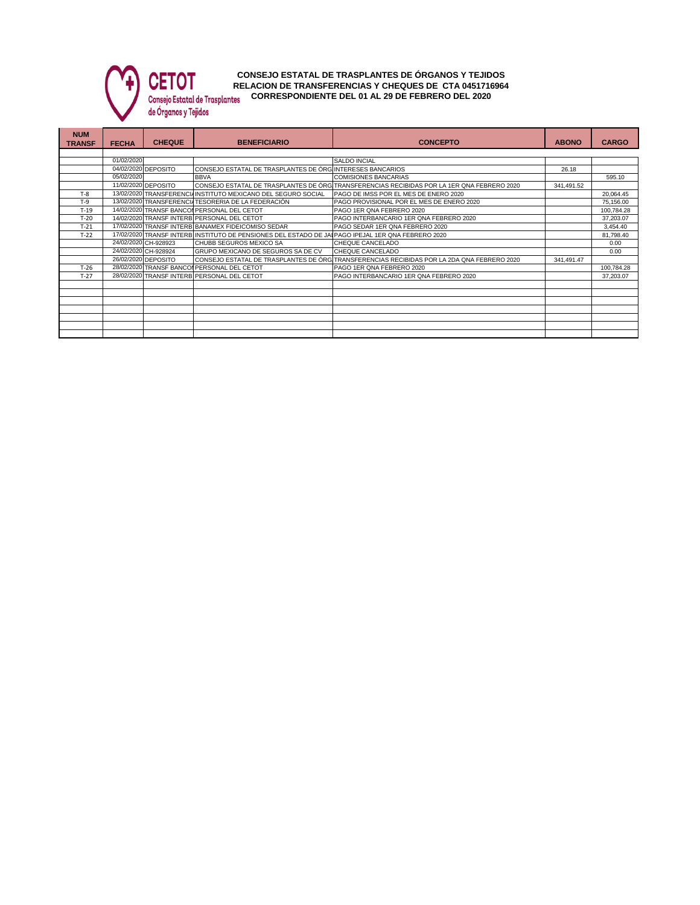

**CONSEJO ESTATAL DE TRASPLANTES DE ÓRGANOS Y TEJIDOS RELACION DE TRANSFERENCIAS Y CHEQUES DE CTA 0451716964 CORRESPONDIENTE DEL 01 AL 29 DE FEBRERO DEL 2020**

| <b>NUM</b><br><b>TRANSF</b> | <b>FECHA</b> | <b>CHEQUE</b>        | <b>BENEFICIARIO</b>                                                                       | <b>CONCEPTO</b>                                                                            | <b>ABONO</b> | <b>CARGO</b> |  |  |  |  |
|-----------------------------|--------------|----------------------|-------------------------------------------------------------------------------------------|--------------------------------------------------------------------------------------------|--------------|--------------|--|--|--|--|
|                             |              |                      |                                                                                           |                                                                                            |              |              |  |  |  |  |
|                             | 01/02/2020   |                      |                                                                                           | SALDO INCIAL                                                                               |              |              |  |  |  |  |
|                             |              | 04/02/2020 DEPOSITO  | CONSEJO ESTATAL DE TRASPLANTES DE ÓRG INTERESES BANCARIOS                                 |                                                                                            | 26.18        |              |  |  |  |  |
|                             | 05/02/2020   |                      | <b>BBVA</b>                                                                               | <b>COMISIONES BANCARIAS</b>                                                                |              | 595.10       |  |  |  |  |
|                             |              | 11/02/2020 DEPOSITO  |                                                                                           | CONSEJO ESTATAL DE TRASPLANTES DE ÓRG TRANSFERENCIAS RECIBIDAS POR LA 1ER QNA FEBRERO 2020 | 341,491.52   |              |  |  |  |  |
| $T-8$                       |              |                      | 13/02/2020 TRANSFERENCIAINSTITUTO MEXICANO DEL SEGURO SOCIAL                              | PAGO DE IMSS POR EL MES DE ENERO 2020                                                      |              | 20,064.45    |  |  |  |  |
| $T-9$                       |              |                      | 13/02/2020 TRANSFERENCIA TESORERIA DE LA FEDERACIÓN                                       | PAGO PROVISIONAL POR EL MES DE ENERO 2020                                                  |              | 75,156.00    |  |  |  |  |
| $T-19$                      |              |                      | 14/02/2020 TRANSF BANCOI PERSONAL DEL CETOT                                               | PAGO 1ER QNA FEBRERO 2020                                                                  |              | 100,784.28   |  |  |  |  |
| $T-20$                      |              |                      | 14/02/2020 TRANSF INTERB PERSONAL DEL CETOT                                               | PAGO INTERBANCARIO 1ER QNA FEBRERO 2020                                                    |              | 37,203.07    |  |  |  |  |
| $T-21$                      |              |                      | 17/02/2020 TRANSF INTERB BANAMEX FIDEICOMISO SEDAR                                        | PAGO SEDAR 1ER QNA FEBRERO 2020                                                            |              | 3,454.40     |  |  |  |  |
| $T-22$                      | 17/02/2020   |                      | 0 TRANSF INTERB INSTITUTO DE PENSIONES DEL ESTADO DE JAI PAGO IPEJAL 1ER QNA FEBRERO 2020 |                                                                                            |              | 81,798.40    |  |  |  |  |
|                             |              | 24/02/2020 CH-928923 | <b>CHUBB SEGUROS MEXICO SA</b>                                                            | CHEQUE CANCELADO                                                                           |              | 0.00         |  |  |  |  |
|                             |              | 24/02/2020 CH-928924 | GRUPO MEXICANO DE SEGUROS SA DE CV                                                        | CHEQUE CANCELADO                                                                           |              | 0.00         |  |  |  |  |
|                             |              | 26/02/2020 DEPOSITO  |                                                                                           | CONSEJO ESTATAL DE TRASPLANTES DE ÓRG TRANSFERENCIAS RECIBIDAS POR LA 2DA QNA FEBRERO 2020 | 341,491.47   |              |  |  |  |  |
| $T-26$                      |              |                      | 28/02/2020 TRANSF BANCOL PERSONAL DEL CETOT                                               | PAGO 1ER QNA FEBRERO 2020                                                                  |              | 100,784.28   |  |  |  |  |
| $T-27$                      |              |                      | 28/02/2020 TRANSF INTERB PERSONAL DEL CETOT                                               | PAGO INTERBANCARIO 1ER QNA FEBRERO 2020                                                    |              | 37,203.07    |  |  |  |  |
|                             |              |                      |                                                                                           |                                                                                            |              |              |  |  |  |  |
|                             |              |                      |                                                                                           |                                                                                            |              |              |  |  |  |  |
|                             |              |                      |                                                                                           |                                                                                            |              |              |  |  |  |  |
|                             |              |                      |                                                                                           |                                                                                            |              |              |  |  |  |  |
|                             |              |                      |                                                                                           |                                                                                            |              |              |  |  |  |  |
|                             |              |                      |                                                                                           |                                                                                            |              |              |  |  |  |  |
|                             |              |                      |                                                                                           |                                                                                            |              |              |  |  |  |  |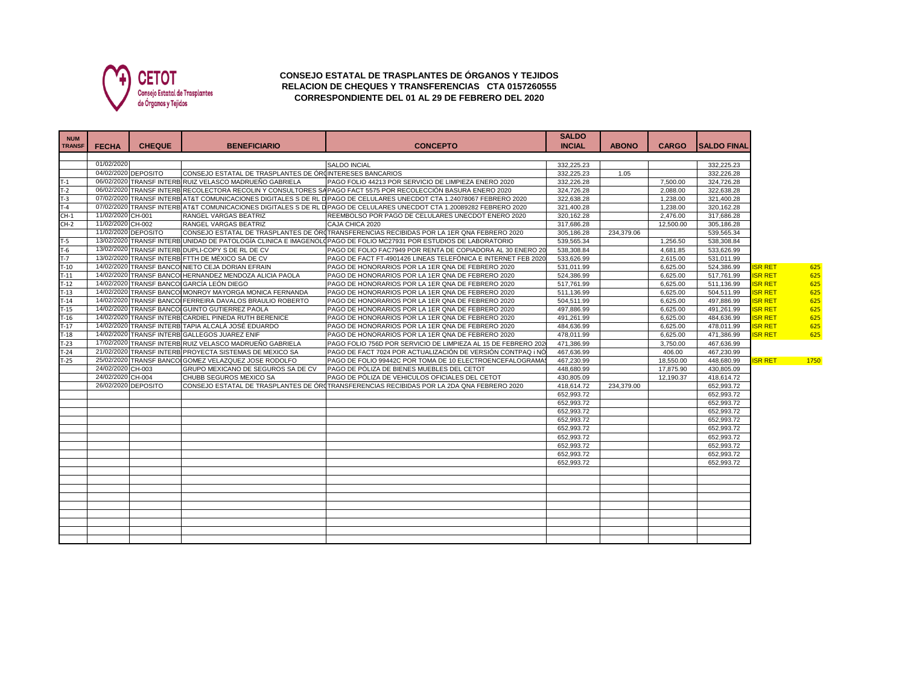

## **CONSEJO ESTATAL DE TRASPLANTES DE ÓRGANOS Y TEJIDOS RELACION DE CHEQUES Y TRANSFERENCIAS CTA 0157260555 CORRESPONDIENTE DEL 01 AL 29 DE FEBRERO DEL 2020**

| <b>NUM</b><br><b>TRANSF</b> | <b>FECHA</b>      | <b>CHEQUE</b>       | <b>BENEFICIARIO</b>                                      | <b>CONCEPTO</b>                                                                                                        | <b>SALDO</b><br><b>INCIAL</b> | <b>ABONO</b> | <b>CARGO</b> | <b>SALDO FINAL</b> |                |      |
|-----------------------------|-------------------|---------------------|----------------------------------------------------------|------------------------------------------------------------------------------------------------------------------------|-------------------------------|--------------|--------------|--------------------|----------------|------|
|                             | 01/02/2020        |                     |                                                          | <b>SALDO INCIAL</b>                                                                                                    | 332.225.23                    |              |              | 332.225.23         |                |      |
|                             |                   | 04/02/2020 DEPOSITO | CONSEJO ESTATAL DE TRASPLANTES DE ÓRUNTERESES BANCARIOS  |                                                                                                                        | 332,225.23                    | 1.05         |              | 332.226.28         |                |      |
|                             |                   |                     | 06/02/2020 TRANSF INTERB RUIZ VELASCO MADRUEÑO GABRIELA  | PAGO FOLIO 44213 POR SERVICIO DE LIMPIEZA ENERO 2020                                                                   | 332,226.28                    |              | 7.500.00     | 324.726.28         |                |      |
| $T-1$<br>T-2                |                   |                     |                                                          | 06/02/2020 TRANSF INTERB RECOLECTORA RECOLIN Y CONSULTORES SAPAGO FACT 5575 POR RECOLECCIÓN BASURA ENERO 2020          | 324,726.28                    |              | 2,088.00     | 322,638.28         |                |      |
| $T-3$                       |                   |                     |                                                          | 07/02/2020 TRANSF INTERB AT&T COMUNICACIONES DIGITALES S DE RL DPAGO DE CELULARES UNECDOT CTA 1.24078067 FEBRERO 2020  | 322,638.28                    |              | 1,238.00     | 321,400.28         |                |      |
| $T-4$                       |                   |                     |                                                          | 07/02/2020 TRANSF INTERB AT&T COMUNICACIONES DIGITALES S DE RL D PAGO DE CELULARES UNECDOT CTA 1.20089282 FEBRERO 2020 | 321,400.28                    |              | 1,238.00     | 320,162.28         |                |      |
| $CH-1$                      | 11/02/2020 CH-001 |                     | <b>RANGEL VARGAS BEATRIZ</b>                             | REEMBOLSO POR PAGO DE CELULARES UNECDOT ENERO 2020                                                                     | 320.162.28                    |              | 2.476.00     | 317.686.28         |                |      |
| $CH-2$                      | 11/02/2020 CH-002 |                     | RANGEL VARGAS BEATRIZ                                    | CAJA CHICA 2020                                                                                                        | 317.686.28                    |              | 12.500.00    | 305.186.28         |                |      |
|                             |                   | 11/02/2020 DEPOSITO |                                                          | CONSEJO ESTATAL DE TRASPLANTES DE ÓRITRANSFERENCIAS RECIBIDAS POR LA 1ER QNA FEBRERO 2020                              | 305,186.28                    | 234,379.06   |              | 539,565.34         |                |      |
| $T-5$                       |                   |                     |                                                          | 13/02/2020 TRANSF INTERBLUNIDAD DE PATOLOGÍA CLINICA E IMAGENOLO PAGO DE FOLIO MC27931 POR ESTUDIOS DE LABORATORIO     | 539.565.34                    |              | 1.256.50     | 538.308.84         |                |      |
| $T-6$                       |                   |                     | 13/02/2020 TRANSF INTERB DUPLI-COPY S DE RL DE CV        | PAGO DE FOLIO FAC7949 POR RENTA DE COPIADORA AL 30 ENERO 20                                                            | 538.308.84                    |              | 4.681.85     | 533.626.99         |                |      |
| $T-7$                       |                   |                     | 13/02/2020 TRANSF INTERB FTTH DE MÉXICO SA DE CV         | PAGO DE FACT FT-4901426 LINEAS TELEFÓNICA E INTERNET FEB 2020                                                          | 533,626.99                    |              | 2,615.00     | 531,011.99         |                |      |
| $T-10$                      |                   |                     | 14/02/2020 TRANSF BANCO NIETO CEJA DORIAN EFRAIN         | PAGO DE HONORARIOS POR LA 1ER QNA DE FEBRERO 2020                                                                      | 531,011.99                    |              | 6.625.00     | 524,386.99         | <b>ISR RET</b> | 625  |
| $T-11$                      |                   |                     | 14/02/2020 TRANSF BANCOI HERNANDEZ MENDOZA ALICIA PAOLA  | PAGO DE HONORARIOS POR LA 1ER QNA DE FEBRERO 2020                                                                      | 524,386.99                    |              | 6,625.00     | 517,761.99         | <b>ISR RET</b> | 625  |
| $T-12$                      |                   |                     | 14/02/2020 TRANSF BANCOL GARCÍA LEÓN DIEGO               | PAGO DE HONORARIOS POR LA 1ER QNA DE FEBRERO 2020                                                                      | 517,761.99                    |              | 6,625.00     | 511,136.99         | <b>ISR RET</b> | 625  |
| $T-13$                      |                   |                     | 14/02/2020 TRANSF BANCO MONROY MAYORGA MONICA FERNANDA   | PAGO DE HONORARIOS POR LA 1ER QNA DE FEBRERO 2020                                                                      | 511,136.99                    |              | 6,625.00     | 504,511.99         | <b>ISR RET</b> | 625  |
| $T-14$                      |                   |                     | 14/02/2020 TRANSF BANCO FERREIRA DAVALOS BRAULIO ROBERTO | PAGO DE HONORARIOS POR LA 1ER QNA DE FEBRERO 2020                                                                      | 504,511.99                    |              | 6.625.00     | 497.886.99         | <b>ISR RET</b> | 625  |
| $T-15$                      |                   |                     | 14/02/2020 TRANSF BANCOI GUINTO GUTIERREZ PAOLA          | PAGO DE HONORARIOS POR LA 1ER QNA DE FEBRERO 2020                                                                      | 497,886.99                    |              | 6.625.00     | 491,261.99         | <b>ISR RET</b> | 625  |
| $T-16$                      |                   |                     | 14/02/2020 TRANSF INTERB CARDIEL PINEDA RUTH BERENICE    | PAGO DE HONORARIOS POR LA 1ER QNA DE FEBRERO 2020                                                                      | 491.261.99                    |              | 6.625.00     | 484.636.99         | <b>ISR RET</b> | 625  |
| $T-17$                      |                   |                     | 14/02/2020 TRANSF INTERB TAPIA ALCALÁ JOSÉ EDUARDO       | PAGO DE HONORARIOS POR LA 1ER QNA DE FEBRERO 2020                                                                      | 484,636.99                    |              | 6,625.00     | 478,011.99         | <b>ISR RET</b> | 625  |
| $T-18$                      |                   |                     | 14/02/2020 TRANSF INTERB GALLEGOS JUAREZ ENIF            | PAGO DE HONORARIOS POR LA 1ER QNA DE FEBRERO 2020                                                                      | 478,011.99                    |              | 6,625.00     | 471,386.99         | <b>ISR RET</b> | 625  |
| $T-23$                      |                   |                     | 17/02/2020 TRANSF INTERB RUIZ VELASCO MADRUEÑO GABRIELA  | PAGO FOLIO 756D POR SERVICIO DE LIMPIEZA AL 15 DE FEBRERO 202                                                          | 471,386.99                    |              | 3,750.00     | 467,636.99         |                |      |
| $T-24$                      |                   |                     | 21/02/2020 TRANSF INTERB PROYECTA SISTEMAS DE MEXICO SA  | PAGO DE FACT 7024 POR ACTUALIZACIÓN DE VERSIÓN CONTPAQ i NÓ                                                            | 467.636.99                    |              | 406.00       | 467,230.99         |                |      |
| $T-25$                      |                   |                     | 25/02/2020 TRANSF BANCO GOMEZ VELAZQUEZ JOSE RODOLFO     | PAGO DE FOLIO 99442C POR TOMA DE 10 ELECTROENCEFALOGRAMA                                                               | 467,230.99                    |              | 18,550.00    | 448,680.99         | <b>ISR RET</b> | 1750 |
|                             | 24/02/2020 CH-003 |                     | GRUPO MEXICANO DE SEGUROS SA DE CV                       | PAGO DE PÓLIZA DE BIENES MUEBLES DEL CETOT                                                                             | 448,680.99                    |              | 17,875.90    | 430,805.09         |                |      |
|                             | 24/02/2020 CH-004 |                     | CHUBB SEGUROS MEXICO SA                                  | PAGO DE PÓLIZA DE VEHICULOS OFICIALES DEL CETOT                                                                        | 430,805.09                    |              | 12,190.37    | 418,614.72         |                |      |
|                             |                   | 26/02/2020 DEPOSITO |                                                          | CONSEJO ESTATAL DE TRASPLANTES DE ÓRITRANSFERENCIAS RECIBIDAS POR LA 2DA QNA FEBRERO 2020                              | 418,614.72                    | 234.379.00   |              | 652,993.72         |                |      |
|                             |                   |                     |                                                          |                                                                                                                        | 652.993.72                    |              |              | 652.993.72         |                |      |
|                             |                   |                     |                                                          |                                                                                                                        | 652.993.72                    |              |              | 652,993.72         |                |      |
|                             |                   |                     |                                                          |                                                                                                                        | 652,993.72                    |              |              | 652,993.72         |                |      |
|                             |                   |                     |                                                          |                                                                                                                        | 652,993.72                    |              |              | 652,993.72         |                |      |
|                             |                   |                     |                                                          |                                                                                                                        | 652,993.72                    |              |              | 652,993.72         |                |      |
|                             |                   |                     |                                                          |                                                                                                                        | 652,993.72                    |              |              | 652,993.72         |                |      |
|                             |                   |                     |                                                          |                                                                                                                        | 652.993.72                    |              |              | 652,993.72         |                |      |
|                             |                   |                     |                                                          |                                                                                                                        | 652,993.72                    |              |              | 652,993.72         |                |      |
|                             |                   |                     |                                                          |                                                                                                                        | 652,993.72                    |              |              | 652,993.72         |                |      |
|                             |                   |                     |                                                          |                                                                                                                        |                               |              |              |                    |                |      |
|                             |                   |                     |                                                          |                                                                                                                        |                               |              |              |                    |                |      |
|                             |                   |                     |                                                          |                                                                                                                        |                               |              |              |                    |                |      |
|                             |                   |                     |                                                          |                                                                                                                        |                               |              |              |                    |                |      |
|                             |                   |                     |                                                          |                                                                                                                        |                               |              |              |                    |                |      |
|                             |                   |                     |                                                          |                                                                                                                        |                               |              |              |                    |                |      |
|                             |                   |                     |                                                          |                                                                                                                        |                               |              |              |                    |                |      |
|                             |                   |                     |                                                          |                                                                                                                        |                               |              |              |                    |                |      |
|                             |                   |                     |                                                          |                                                                                                                        |                               |              |              |                    |                |      |